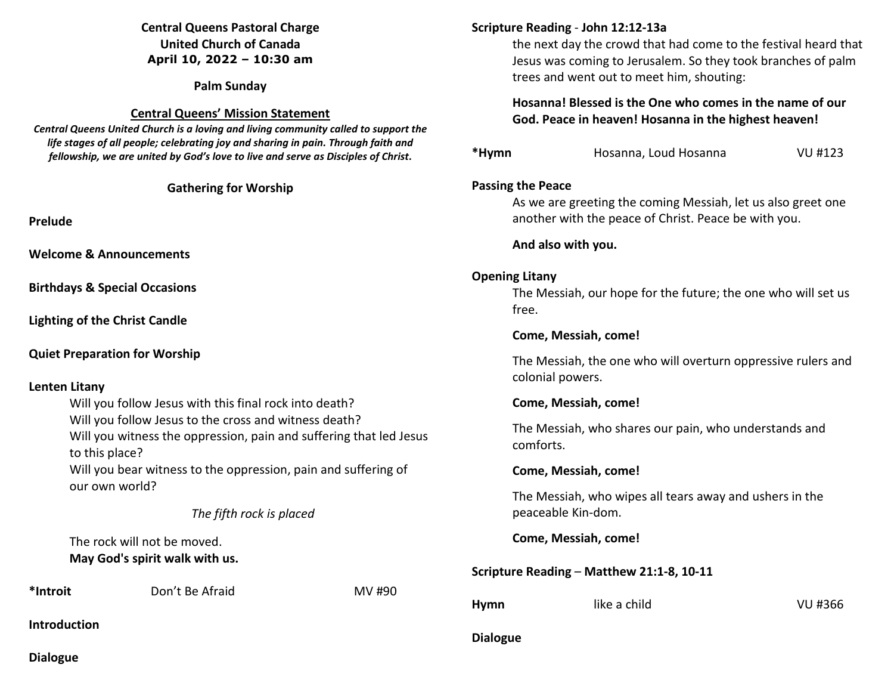# **Central Queens Pastoral Charge United Church of Canada April 10, 2022 – 10:30 am**

**Palm Sunday** 

#### **Central Queens' Mission Statement**

*Central Queens United Church is a loving and living community called to support the life stages of all people; celebrating joy and sharing in pain. Through faith and fellowship, we are united by God's love to live and serve as Disciples of Christ***.** 

**Gathering for Worship** 

**Prelude** 

**Welcome & Announcements** 

**Birthdays & Special Occasions** 

**Lighting of the Christ Candle** 

**Quiet Preparation for Worship** 

# **Lenten Litany**

 Will you follow Jesus with this final rock into death? Will you follow Jesus to the cross and witness death? Will you witness the oppression, pain and suffering that led Jesus to this place? Will you bear witness to the oppression, pain and suffering of our own world?

*The fifth rock is placed* 

 The rock will not be moved.  **May God's spirit walk with us.** 

**\*Introit** Don't Be Afraid MV #90

**Introduction** 

# **Scripture Reading** - **John 12:12-13a**

the next day the crowd that had come to the festival heard that Jesus was coming to Jerusalem. So they took branches of palm trees and went out to meet him, shouting:

# **Hosanna! Blessed is the One who comes in the name of our God. Peace in heaven! Hosanna in the highest heaven!**

| *Hymn | Hosanna, Loud Hosanna | VU #123 |
|-------|-----------------------|---------|
|       |                       |         |

#### **Passing the Peace**

 As we are greeting the coming Messiah, let us also greet one another with the peace of Christ. Peace be with you.

#### **And also with you.**

# **Opening Litany**

The Messiah, our hope for the future; the one who will set us free.

#### **Come, Messiah, come!**

 The Messiah, the one who will overturn oppressive rulers and colonial powers.

# **Come, Messiah, come!**

 The Messiah, who shares our pain, who understands and comforts.

# **Come, Messiah, come!**

 The Messiah, who wipes all tears away and ushers in the peaceable Kin-dom.

 **Come, Messiah, come!** 

# **Scripture Reading** – **Matthew 21:1-8, 10-11**

**Hymn** like a child VU #366

# **Dialogue**

**Dialogue**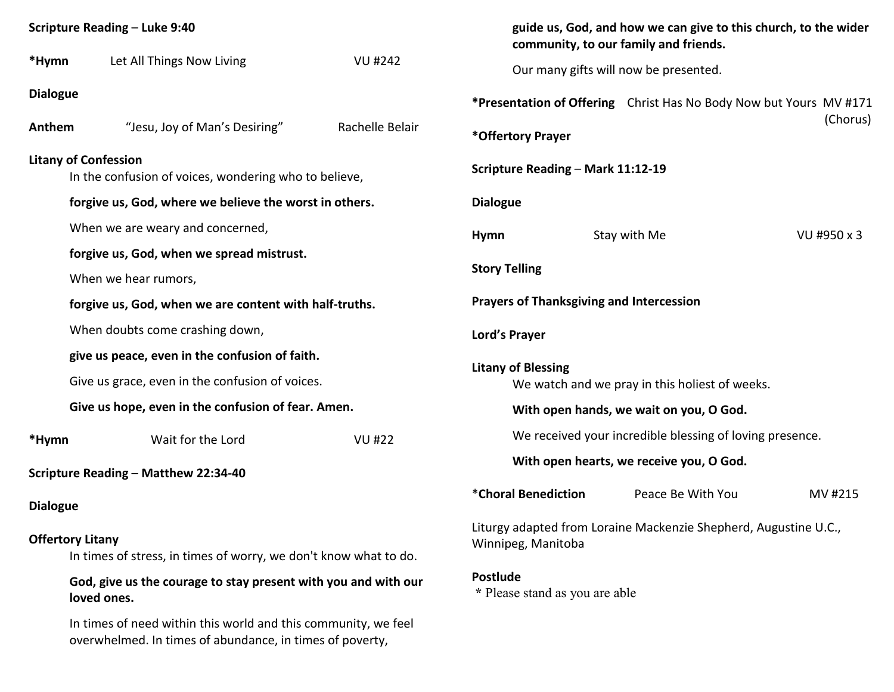| <b>Scripture Reading - Luke 9:40</b>                                                        |                                                                                                                            |                                                                                        | guide us, God, and how we can give to this church, to the wider<br>community, to our family and friends. |                                       |             |
|---------------------------------------------------------------------------------------------|----------------------------------------------------------------------------------------------------------------------------|----------------------------------------------------------------------------------------|----------------------------------------------------------------------------------------------------------|---------------------------------------|-------------|
| *Hymn                                                                                       | Let All Things Now Living                                                                                                  | <b>VU #242</b>                                                                         |                                                                                                          | Our many gifts will now be presented. |             |
| <b>Dialogue</b>                                                                             |                                                                                                                            |                                                                                        | *Presentation of Offering Christ Has No Body Now but Yours MV #171                                       |                                       |             |
| Anthem                                                                                      | "Jesu, Joy of Man's Desiring"                                                                                              | Rachelle Belair                                                                        | *Offertory Prayer                                                                                        |                                       | (Chorus)    |
| <b>Litany of Confession</b><br>In the confusion of voices, wondering who to believe,        |                                                                                                                            |                                                                                        | Scripture Reading - Mark 11:12-19                                                                        |                                       |             |
| forgive us, God, where we believe the worst in others.                                      |                                                                                                                            |                                                                                        | <b>Dialogue</b>                                                                                          |                                       |             |
|                                                                                             | When we are weary and concerned,                                                                                           |                                                                                        | Hymn                                                                                                     | Stay with Me                          | VU #950 x 3 |
|                                                                                             | forgive us, God, when we spread mistrust.                                                                                  |                                                                                        |                                                                                                          |                                       |             |
|                                                                                             | When we hear rumors,                                                                                                       |                                                                                        | <b>Story Telling</b>                                                                                     |                                       |             |
|                                                                                             | forgive us, God, when we are content with half-truths.                                                                     |                                                                                        | <b>Prayers of Thanksgiving and Intercession</b>                                                          |                                       |             |
|                                                                                             | When doubts come crashing down,                                                                                            | Lord's Prayer                                                                          |                                                                                                          |                                       |             |
|                                                                                             | give us peace, even in the confusion of faith.                                                                             |                                                                                        |                                                                                                          |                                       |             |
| Give us grace, even in the confusion of voices.                                             |                                                                                                                            |                                                                                        | <b>Litany of Blessing</b><br>We watch and we pray in this holiest of weeks.                              |                                       |             |
| Give us hope, even in the confusion of fear. Amen.                                          |                                                                                                                            |                                                                                        | With open hands, we wait on you, O God.                                                                  |                                       |             |
| *Hymn                                                                                       | Wait for the Lord                                                                                                          | <b>VU #22</b>                                                                          | We received your incredible blessing of loving presence.                                                 |                                       |             |
| Scripture Reading - Matthew 22:34-40                                                        |                                                                                                                            |                                                                                        | With open hearts, we receive you, O God.                                                                 |                                       |             |
| <b>Dialogue</b>                                                                             |                                                                                                                            |                                                                                        | *Choral Benediction                                                                                      | Peace Be With You                     | MV #215     |
| <b>Offertory Litany</b><br>In times of stress, in times of worry, we don't know what to do. |                                                                                                                            | Liturgy adapted from Loraine Mackenzie Shepherd, Augustine U.C.,<br>Winnipeg, Manitoba |                                                                                                          |                                       |             |
| God, give us the courage to stay present with you and with our<br>loved ones.               |                                                                                                                            |                                                                                        | <b>Postlude</b><br>* Please stand as you are able                                                        |                                       |             |
|                                                                                             | In times of need within this world and this community, we feel<br>overwhelmed. In times of abundance, in times of poverty, |                                                                                        |                                                                                                          |                                       |             |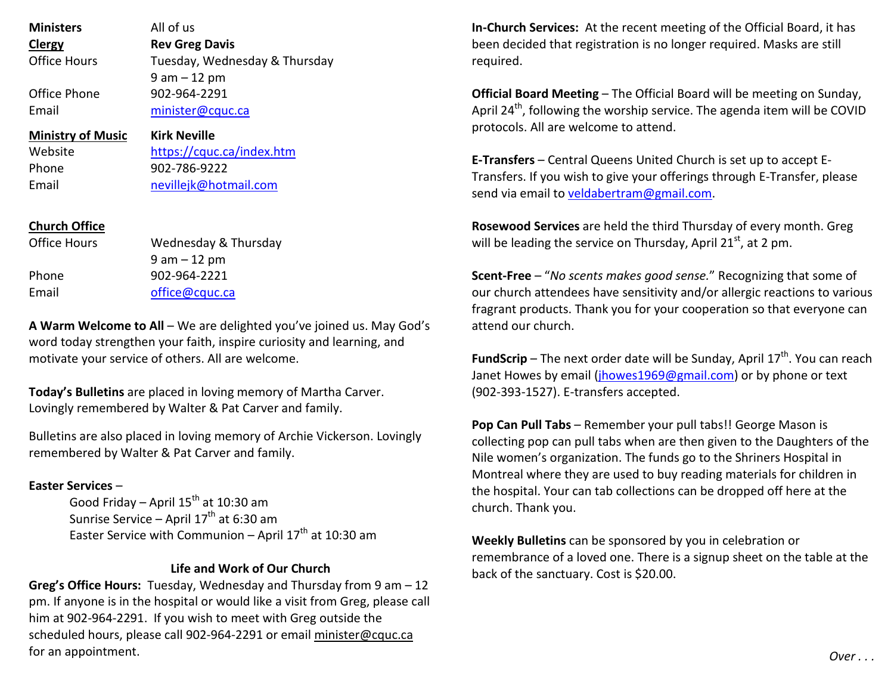| <b>Ministers</b>          | All of us                     | In-Church Services: At the recent meeting of the Official                 |  |  |
|---------------------------|-------------------------------|---------------------------------------------------------------------------|--|--|
| <b>Clergy</b>             | <b>Rev Greg Davis</b>         | been decided that registration is no longer required. Ma                  |  |  |
| <b>Office Hours</b>       | Tuesday, Wednesday & Thursday | required.                                                                 |  |  |
|                           | $9$ am $-12$ pm               |                                                                           |  |  |
| Office Phone              | 902-964-2291                  | Official Board Meeting - The Official Board will be meet                  |  |  |
| Email<br>minister@cquc.ca |                               | April 24 <sup>th</sup> , following the worship service. The agenda iter   |  |  |
| <b>Ministry of Music</b>  | <b>Kirk Neville</b>           | protocols. All are welcome to attend.                                     |  |  |
| Website                   | https://cquc.ca/index.htm     | <b>E-Transfers</b> – Central Queens United Church is set up to            |  |  |
| Phone                     | 902-786-9222                  | Transfers. If you wish to give your offerings through E-Tr.               |  |  |
| Email                     | nevillejk@hotmail.com         | send via email to veldabertram@gmail.com.                                 |  |  |
| <b>Church Office</b>      |                               | Rosewood Services are held the third Thursday of every                    |  |  |
| Office Hours              | Wednesday & Thursday          | will be leading the service on Thursday, April 21 <sup>st</sup> , at 2 pr |  |  |
|                           | $9 am - 12 pm$                |                                                                           |  |  |
| Phone                     | 902-964-2221                  | Scent-Free - "No scents makes good sense." Recognizing                    |  |  |
| Email                     | office@cquc.ca                | our church attendees have sensitivity and/or allergic rea                 |  |  |
|                           |                               | fragrant products. Thank you for your cooperation so that                 |  |  |

**A Warm Welcome to All** – We are delighted you've joined us. May God's word today strengthen your faith, inspire curiosity and learning, and motivate your service of others. All are welcome.

**Today's Bulletins** are placed in loving memory of Martha Carver. Lovingly remembered by Walter & Pat Carver and family.

Bulletins are also placed in loving memory of Archie Vickerson. Lovingly remembered by Walter & Pat Carver and family.

#### **Easter Services** –

Good Friday – April 15<sup>th</sup> at 10:30 am Sunrise Service – April 17<sup>th</sup> at 6:30 am Easter Service with Communion – April 17<sup>th</sup> at 10:30 am

#### **Life and Work of Our Church**

**Greg's Office Hours:** Tuesday, Wednesday and Thursday from 9 am – 12 pm. If anyone is in the hospital or would like a visit from Greg, please call him at 902-964-2291. If you wish to meet with Greg outside the scheduled hours, please call 902-964-2291 or email minister@cquc.ca for an appointment.

**Board, it has** sks are still

**Orginal Board Board Board Board Board Executers** n will be COVID

**E-Transfers** – Central Queens United Church is set up to accept Eansfer, please

month. Greg will be leading the service on Thursday, April 21 $^{\rm st}$ , at 2 pm.

that some of ctions to various at everyone can attend our church.

**FundScrip** – The next order date will be Sunday, April 17<sup>th</sup>. You can reach Janet Howes by email (jhowes1969@gmail.com) or by phone or text (902-393-1527). E-transfers accepted.

**Pop Can Pull Tabs** – Remember your pull tabs!! George Mason is collecting pop can pull tabs when are then given to the Daughters of the Nile women's organization. The funds go to the Shriners Hospital in Montreal where they are used to buy reading materials for children in the hospital. Your can tab collections can be dropped off here at the church. Thank you.

**Weekly Bulletins** can be sponsored by you in celebration or remembrance of a loved one. There is a signup sheet on the table at the back of the sanctuary. Cost is \$20.00.